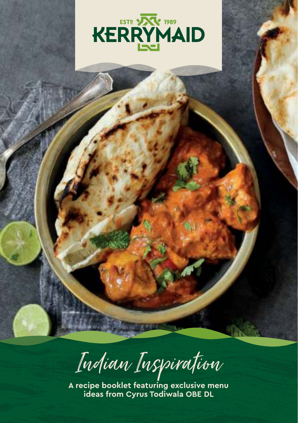

Indian Inspiration

**A recipe booklet featuring exclusive menu ideas from Cyrus Todiwala OBE DL**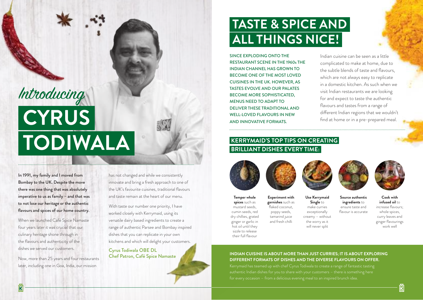## **TASTE & SPICE AND ALL THINGS NICE!**

SINCE EXPLODING ONTO THE RESTAURANT SCENE IN THE 1960s THE INDIAN CHANNEL HAS GROWN TO BECOME ONE OF THE MOST LOVED CUISINES IN THE UK. HOWEVER, AS TASTES EVOLVE AND OUR PALATES BECOME MORE SOPHISTICATED, MENUS NEED TO ADAPT TO DELIVER THESE TRADITIONAL AND WELL-LOVED FLAVOURS IN NEW AND INNOVATIVE FORMATS.

Indian cuisine can be seen as a little complicated to make at home, due to the subtle blends of taste and flavours, which are not always easy to replicate in a domestic kitchen. As such when we visit Indian restaurants we are looking for and expect to taste the authentic flavours and tastes from a range of different Indian regions that we wouldn't find at home or in a pre-prepared meal.

## **KERRYMAID'S TOP TIPS ON CREATING BRILLIANT DISHES EVERY TIME:**

**Experiment with garnishes** such as flaked coconut, poppy seeds, tamarind juice and fresh chilli



**Temper whole spices** such as mustard seeds, cumin seeds, red dry chillies, grated ginger or garlic in hot oil until they sizzle to release their full flavour



**Use Kerrymaid Single** to make curries exceptionally creamy – without the worry as it

will never split



**Source authentic ingredients** to ensure taste and flavour is accurate

**Cook with infused oil** to increase flavours; whole spices, curry leaves and ginger flavourings work well

#### **INDIAN CUISINE IS ABOUT MORE THAN JUST CURRIES; IT IS ABOUT EXPLORING DIFFERENT FORMATS OF DISHES AND THE DIVERSE FLAVOURS ON OFFER.**

Kerrymaid has teamed up with chef Cyrus Todiwala to create a range of fantastic tasting authentic Indian dishes for you to share with your customers – there is something here for every occasion – from a delicious evening meal to an inspired brunch idea.

 **CYRUS TODIWALA**  Introducing

In 1991, my family and I moved from Bombay to the UK. Despite the move there was one thing that was absolutely imperative to us as family – and that was to not lose our heritage or the authentic flavours and spices of our home country.

When we launched Café Spice Namaste four years later it was crucial that our culinary heritage shone through in the flavours and authenticity of the dishes we served our customers.

Now, more than 25 years and four restaurants later, including one in Goa, India, our mission

has not changed and while we consistently innovate and bring a fresh approach to one of the UK's favourite cuisines, traditional flavours and taste remain at the heart of our menu.

With taste our number one priority, I have worked closely with Kerrymaid, using its versatile dairy based ingredients to create a range of authentic Parsee and Bombay inspired dishes that you can replicate in your own kitchens and which will delight your customers.

Cyrus Todiwala OBE DL Chef Patron, Café Spice Namaste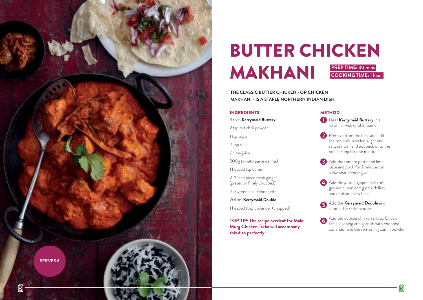

## BUTTER CHICKEN MAKHANI **PREP TIME:** 30 mins **COOKING TIME:** 1 hour

**THE CLASSIC BUTTER CHICKEN - OR CHICKEN MAKHANI - IS A STAPLE NORTHERN INDIAN DISH.** 

#### INGREDIENTS

3 tbsp **Kerrymaid Buttery** 

2 tsp red chilli powder

1 tsp sugar

½ tsp salt

½ lime juice

200g tomato paste canned

1 heaped tsp cumin

2-3 inch piece fresh ginger (grated or finely chopped)

2-3 green chilli (chopped)

200ml **Kerrymaid Double**

1 heaped tbsp coriander (chopped)

**TOP TIP: The recipe overleaf for Mala Murg Chicken Tikka will accompany this dish perfectly**

#### **METHOD**

**1** Heat **Kerrymaid Buttery** in a karahi or wok until it foams

- **2** Remove from the heat and add the red chilli powder, sugar and salt, stir well and put back onto the hob stirring for one minute
- **3** Add the tomato paste and lime juice and cook for 2 minutes on a low heat blending well

4 Add the grated ginger, half the ground cumin and green chillies and cook on a low heat

Add the **Kerrymaid Double** and simmer for 6-8 minutes

Add the cooked chicken tikkas. Check 6 the seasoning and garnish with chopped coriander and the remaining cumin powder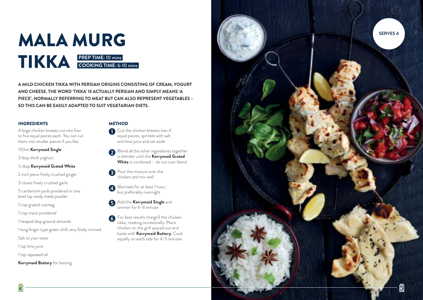

**A MILD CHICKEN TIKKA WITH PERSIAN ORIGINS CONSISTING OF CREAM, YOGURT AND CHEESE. THE WORD 'TIKKA' IS ACTUALLY PERSIAN AND SIMPLY MEANS 'A PIECE', NORMALLY REFERRING TO MEAT BUT CAN ALSO REPRESENT VEGETABLES – SO THIS CAN BE EASILY ADAPTED TO SUIT VEGETARIAN DIETS.**

#### INGREDIENTS

4 large chicken breasts cut into four to five equal pieces each. You can cut them into smaller pieces if you like.

#### 150ml **Kerrymaid Single**

3 tbsp thick yoghurt

- ½ tbsp **Kerrymaid Grated White**
- 2 inch piece finely crushed ginger
- 3 cloves finely crushed garlic
- 5 cardamom pods powdered or one level tsp ready made powder
- ½ tsp grated nutmeg
- ½ tsp mace powdered
- 1 heaped tbsp ground almonds
- 1 long finger type green chilli very finely minced
- Salt to your taste
- 1 tsp lime juice
- 1 tsp rapeseed oil

#### **Kerrymaid Buttery** for basting

#### **METHOD**

- Cut the chicken breasts into 4 equal pieces, sprinkle with salt and lime juice and set aside
- **Blend all the other ingredients together** in blender until the **Kerrymaid Grated**  White is combined - do not over blend
- Pour the mixture over the chicken and mix well
- A Marinate for at least 1 hour, but preferably overnight
- Add the **Kerrymaid Single** and simmer for 6-8 minute
- For best results chargrill the chicken 6 tikka, rotating occasionally. Place chicken on the grill spaced out and baste with **Kerrymaid Buttery.** Cook equally on each side for 4-5 minutes

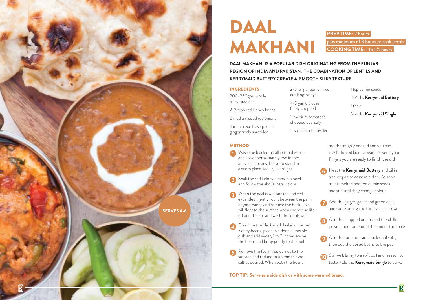

## DAAL MAKHANI

### **PREP TIME:** 2 hours plus minimum of 8 hours to soak lentils **COOKING TIME:** 1 to 1 ½ hours

**DAAL MAKHANI IS A POPULAR DISH ORIGINATING FROM THE PUNJAB REGION OF INDIA AND PAKISTAN. THE COMBINATION OF LENTILS AND KERRYMAID BUTTERY CREATE A SMOOTH SILKY TEXTURE.** 

> 2-3 long green chillies cut lengthways 4-5 garlic cloves finely chopped 2 medium tomatoes chopped coarsely 1 tsp red chilli powder

#### INGREDIENTS

200-250gms whole black urad daal

2-3 tbsp red kidney beans

2 medium sized red onions

4 inch piece fresh peeled ginger finely shredded

#### **METHOD**

Wash the black urad all in tepid water and soak approximately two inches above the beans. Leave to stand in a warm place, ideally overnight

Soak the red kidney beans in a bowl and follow the above instructions

When the daal is well soaked and well expanded, gently rub it between the palm of your hands and remove the husk. This will float to the surface when washed so lift off and discard and wash the lentils well

- Combine the black urad daal and the red kidney beans, place in a deep casserole dish and add water, 1 to 2 inches above the beans and bring gently to the boil
- Remove the foam that comes to the surface and reduce to a simmer. Add salt as desired. When both the beans

#### **TOP TIP: Serve as a side dish or with some warmed bread.**

- 1 tsp cumin seeds
- 3-4 tbs **Kerrymaid Buttery**
- 1 tbs oil

3-4 tbs **Kerrymaid Single**

are thoroughly cooked and you can mash the red kidney bean between your fingers you are ready to finish the dish

- Heat the **Kerrymaid Buttery** and oil in a saucepan or casserole dish. As soon as it is melted add the cumin seeds and stir until they change colour
- Add the ginger, garlic and green chilli and sauté until garlic turns a pale brown
- Add the chopped onions and the chilli powder and sauté until the onions turn pale
- Add the tomatoes and cook until soft, then add the boiled beans to the pot
- **Stir well, bring to a soft boil and, season to** taste. Add the **Kerrymaid Single** to serve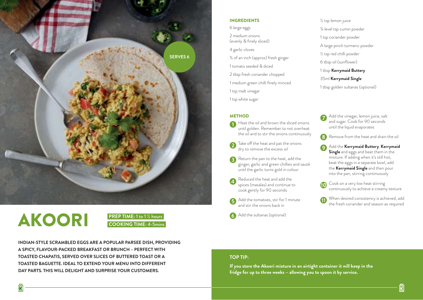

# AKOORI



**INDIAN-STYLE SCRAMBLED EGGS ARE A POPULAR PARSEE DISH, PROVIDING A SPICY, FLAVOUR-PACKED BREAKFAST OR BRUNCH – PERFECT WITH TOASTED CHAPATIS, SERVED OVER SLICES OF BUTTERED TOAST OR A TOASTED BAGUETTE. IDEAL TO EXTEND YOUR MENU INTO DIFFERENT DAY PARTS. THIS WILL DELIGHT AND SURPRISE YOUR CUSTOMERS.** 

#### INGREDIENTS

6 large eggs

- 2 medium onions (evenly & finely sliced)
- 4 garlic cloves
- ¾ of an inch (approx) fresh ginger
- 1 tomato seeded & diced
- 2 tbsp fresh coriander chopped
- 1 medium green chilli finely minced
- 1 tsp malt vinegar
- 1 tsp white sugar

#### **METHOD**

- Heat the oil and brown the sliced onions until golden. Remember to not overheat the oil and to stir the onions continuously
- Take off the heat and pat the onions dry to remove the excess oil
- Return the pan to the heat, add the ginger, garlic and green chillies and sauté until the garlic turns gold in colour
- Reduced the heat and add the spices (masalas) and continue to cook gently for 90 seconds
- Add the tomatoes, stir for 1 minute and stir the onions back in
- 6 Add the sultanas (optional)

¾ level tsp cumin powder 1 tsp coriander powder A large pinch turmeric powder ½ tsp red chilli powder 6 tbsp oil (sunflower) 1 tbsp **Kerrymaid Buttery** 35ml **Kerrymaid Single** 1 tbsp golden sultanas (optional)

½ tsp lemon juice

- Add the vinegar, lemon juice, salt and sugar. Cook for 90 seconds until the liquid evaporates
- Remove from the heat and drain the oil
- Add the **Kerrymaid Buttery**, **Kerrymaid Single** and eggs and beat them in the mixture. If adding when it's still hot, beat the eggs in a separate bowl, add the **Kerrymaid Single** and then pour into the pan, stirring continuously
- Cook on a very low heat stirring continuously to achieve a creamy texture
- When desired consistency is achieved, add the fresh coriander and season as required

#### **TOP TIP:**

**If you store the Akoori mixture in an airtight container it will keep in the fridge for up to three weeks – allowing you to spoon it by service.**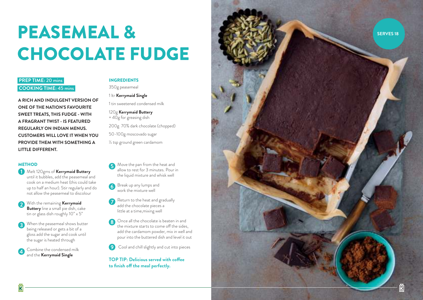# PEASEMEAL & CHOCOLATE FUDGE

### **PREP TIME:** 20 mins **COOKING TIME:** 45 mins

**A RICH AND INDULGENT VERSION OF ONE OF THE NATION'S FAVOURITE SWEET TREATS, THIS FUDGE - WITH A FRAGRANT TWIST - IS FEATURED REGULARLY ON INDIAN MENUS. CUSTOMERS WILL LOVE IT WHEN YOU PROVIDE THEM WITH SOMETHING A LITTLE DIFFERENT.**

#### **METHOD**

- **1** Melt 120gms of **Kerrymaid Buttery** until it bubbles, add the peasemeal and cook on a medium heat (this could take up to half an hour). Stir regularly and do not allow the peasemeal to discolour
- With the remaining **Kerrymaid Buttery** line a small pie dish, cake tin or glass dish roughly 10" x 5"
- When the peasemeal shows butter being released or gets a bit of a gloss add the sugar and cook until the sugar is heated through
- Combine the condensed milk and the **Kerrymaid Single**

### INGREDIENTS

350g peasemeal

1 ltr **Kerrymaid Single** 1 tin sweetened condensed milk

120g **Kerrymaid Buttery** + 40g for greasing dish

200g 70% dark chocolate (chopped)

50-100g moscovado sugar

½ tsp ground green cardamom

- Move the pan from the heat and allow to rest for 3 minutes. Pour in the liquid mixture and whisk well
- 6 Break up any lumps and work the mixture well
- Return to the heat and gradually add the chocolate pieces a little at a time,mixing well
- Once all the chocolate is beaten in and the mixture starts to come off the sides, add the cardamom powder, mix in well and pour into the buttered dish and level it out
- Cool and chill slightly and cut into pieces

**TOP TIP: Delicious served with coffee to finish off the meal perfectly.**

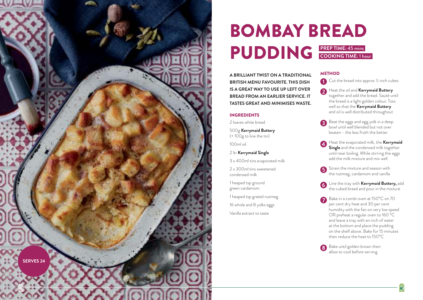

## BOMBAY BREAD PUDDING **PREP TIME:** 45 mins **COOKING TIME:** 1 hour

**A BRILLIANT TWIST ON A TRADITIONAL BRITISH MENU FAVOURITE. THIS DISH IS A GREAT WAY TO USE UP LEFT OVER BREAD FROM AN EARLIER SERVICE. IT TASTES GREAT AND MINIMISES WASTE.**

#### INGREDIENTS

2 loaves white bread

500g **Kerrymaid Buttery** (+ 100g to line the tin)

100ml oil

2 ltr **Kerrymaid Single**

3 x 400ml tins evaporated milk

2 x 300ml tins sweetened condensed milk

1 heaped tsp ground green cardamom

1 heaped tsp grated nutmeg

16 whole and 8 yolks eggs

Vanilla extract to taste

#### **METHOD**

Cut the bread into approx 1/2 inch cubes

- **A** Heat the oil and **Kerrymaid Buttery** together and add the bread. Sauté until the bread is a light golden colour. Toss well so that the **Kerrymaid Buttery** and oil is well distributed throughout
- Beat the eggs and egg yolk in a deep bowl until well blended but not over beaten - the less froth the better
- Heat the evaporated milk, the **Kerrymaid Single** and the condensed milk together until near boiling. While stirring the eggs add the milk mixture and mix well

Strain the mixture and season with the nutmeg, cardamom and vanilla

- Line the tray with **Kerrymaid Buttery,** add the cubed bread and pour in the mixture
- Bake in a combi oven at 150°C on 70 per cent dry heat and 30 per cent humidity with the fan on very low speed OR preheat a regular oven to 160 °C and leave a tray with an inch of water at the bottom and place the pudding on the shelf above. Bake for 15 minutes then reduce the heat to 150°C

Bake until golden brown then allow to cool before serving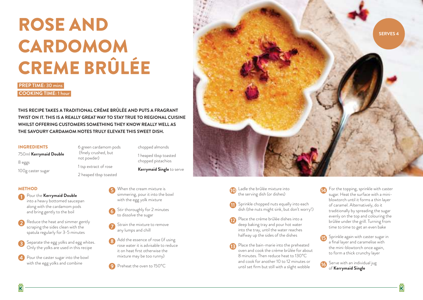# ROSE AND CARDOMOM CREME BRÛLÉE

**PREP TIME:** 30 mins **COOKING TIME:** 1 hour

**THIS RECIPE TAKES A TRADITIONAL CRÈME BRÛLÉE AND PUTS A FRAGRANT TWIST ON IT. THIS IS A REALLY GREAT WAY TO STAY TRUE TO REGIONAL CUISINE WHILST OFFERING CUSTOMERS SOMETHING THEY KNOW REALLY WELL AS THE SAVOURY CARDAMOM NOTES TRULY ELEVATE THIS SWEET DISH.** 

#### INGREDIENTS

750ml **Kerrymaid Double** 8 eggs 100g caster sugar

#### **METHOD**

- **Pour the Kerrymaid Double** into a heavy bottomed saucepan along with the cardamom pods and bring gently to the boil
- Reduce the heat and simmer gently scraping the sides clean with the spatula regularly for 3-5 minutes
- Separate the egg yolks and egg whites. Only the yolks are used in this recipe
- Pour the caster sugar into the bowl with the egg yolks and combine

6 green cardamom pods (finely crushed, but not powder)

1 tsp extract of rose 2 heaped tbsp toasted

When the cream mixture is

chopped almonds 1 heaped tbsp toasted chopped pistachios

**Kerrymaid Single** to serve

- simmering, pour it into the bowl with the egg yolk mixture
- Stir thoroughly for 2 minutes to dissolve the sugar
- Strain the mixture to remove any lumps and chill
- Add the essence of rose (if using rose water it is advisable to reduce it on heat first otherwise the mixture may be too runny)
- Preheat the oven to 150°C



- Ladle the brûlée mixture into the serving dish (or dishes)
- **Sprinkle chopped nuts equally into each** dish (the nuts might sink, but don't worry!)
- Place the crème brûlée dishes into a deep baking tray and pour hot water into the tray, until the water reaches halfway up the sides of the dishes
- Place the bain-marie into the preheated oven and cook the crème brûlée for about 8 minutes. Then reduce heat to 130°C and cook for another 10 to 12 minutes or until set firm but still with a slight wobble
- For the topping, sprinkle with caster sugar. Heat the surface with a miniblowtorch until it forms a thin layer of caramel. Alternatively, do it traditionally by spreading the sugar evenly on the top and colouring the brûlée under the grill. Turning from time to time to get an even bake
- Sprinkle again with caster sugar in a final layer and caramelise with the mini-blowtorch once again, to form a thick crunchy layer
- Serve with an individual jug of **Kerrymaid Single**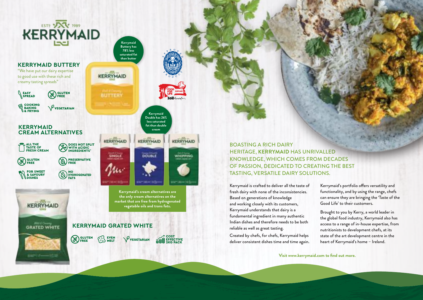

#### **KERRYMAID BUTTERY**

"We have put our dairy expertise to good use with these rich and creamy tasting spreads"

EASY<br>SPREAD **CEO** GLUTEN

**EXAMPLE OF SAKING** VEGETARIAN

#### **KERRYMAID CREAM ALTERNATIVES**

ALL THE TASTE OF FRESH CREAM

**EX GLUTEN** 

**EOR SWEET** 

KERRYMAID

GRATED WHITE

NO<br>HYDROGENATED

**BU PRESERVATIVE** 

**fat than double cream KERRYMAID** KERRYMAID DOUBLE

**Kerrymaid Double has 26% less saturated** 

**Kerrymaid Buttery has 78% less saturated fat than butter**

**KERRYMAID** 

**BUTTERY** 

KERRYMAID

SINGLE

WH PPING  $-144 - 65$ 

**Kerrymaid's cream alternatives are the only cream alternatives on the market that are free from hydrogenated vegetable oils and trans fats.**

### **KERRYMAID GRATED WHITE**



DOES NOT SPLIT WITH ACIDIC INGREDIENTS\*



BOASTING A RICH DAIRY HERITAGE, **KERRYMAID** HAS UNRIVALLED KNOWLEDGE, WHICH COMES FROM DECADES OF PASSION, DEDICATED TO CREATING THE BEST TASTING, VERSATILE DAIRY SOLUTIONS.

Kerrymaid is crafted to deliver all the taste of fresh dairy with none of the inconsistencies. Based on generations of knowledge and working closely with its customers, Kerrymaid understands that dairy is a fundamental ingredient in many authentic Indian dishes and therefore needs to be both reliable as well as great tasting.

Created by chefs, for chefs, Kerrymaid helps deliver consistent dishes time and time again.

Kerrymaid's portfolio offers versatility and functionality, and by using the range, chefs can ensure they are bringing the 'Taste of the Good Life' to their customers.

Brought to you by Kerry, a world leader in the global food industry, Kerrymaid also has access to a range of in-house expertise, from nutritionists to development chefs, at its state of the art development centre in the heart of Kerrymaid's home – Ireland.

**Visit www.kerrymaid.com to find out more.**